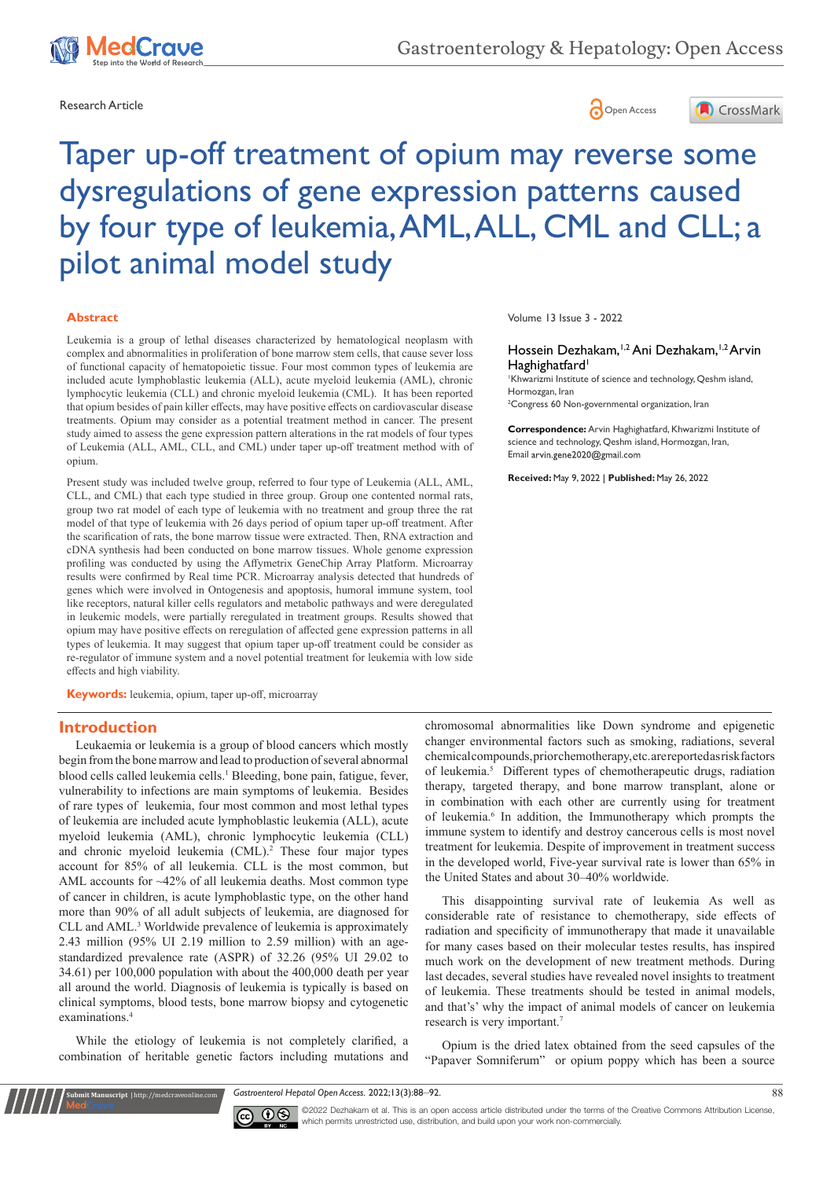





# Taper up-off treatment of opium may reverse some dysregulations of gene expression patterns caused by four type of leukemia, AML, ALL, CML and CLL; a pilot animal model study

#### **Abstract**

Leukemia is a group of lethal diseases characterized by hematological neoplasm with complex and abnormalities in proliferation of bone marrow stem cells, that cause sever loss of functional capacity of hematopoietic tissue. Four most common types of leukemia are included [acute lymphoblastic leukemia](https://en.wikipedia.org/wiki/Acute_lymphoblastic_leukemia) (ALL), [acute myeloid leukemia](https://en.wikipedia.org/wiki/Acute_myeloid_leukemia) (AML), [chronic](https://en.wikipedia.org/wiki/Chronic_lymphocytic_leukemia)  [lymphocytic leukemia](https://en.wikipedia.org/wiki/Chronic_lymphocytic_leukemia) (CLL) and [chronic myeloid leukemia](https://en.wikipedia.org/wiki/Chronic_myeloid_leukemia) (CML). It has been reported that opium besides of pain killer effects, may have positive effects on cardiovascular disease treatments. Opium may consider as a potential treatment method in cancer. The present study aimed to assess the gene expression pattern alterations in the rat models of four types of Leukemia (ALL, AML, CLL, and CML) under taper up-off treatment method with of opium.

Present study was included twelve group, referred to four type of Leukemia (ALL, AML, CLL, and CML) that each type studied in three group. Group one contented normal rats, group two rat model of each type of leukemia with no treatment and group three the rat model of that type of leukemia with 26 days period of opium taper up-off treatment. After the scarification of rats, the bone marrow tissue were extracted. Then, RNA extraction and cDNA synthesis had been conducted on bone marrow tissues. Whole genome expression profiling was conducted by using the Affymetrix GeneChip Array Platform. Microarray results were confirmed by Real time PCR. Microarray analysis detected that hundreds of genes which were involved in Ontogenesis and apoptosis, humoral immune system, tool like receptors, natural killer cells regulators and metabolic pathways and were deregulated in leukemic models, were partially reregulated in treatment groups. Results showed that opium may have positive effects on reregulation of affected gene expression patterns in all types of leukemia. It may suggest that opium taper up-off treatment could be consider as re-regulator of immune system and a novel potential treatment for leukemia with low side effects and high viability.

**Keywords:** leukemia, opium, taper up-off, microarray

#### **Introduction**

Leukaemia or leukemia is a group of [blood cancers](https://en.wikipedia.org/wiki/Blood_cancer) which mostly begin from the [bone marrow](https://en.wikipedia.org/wiki/Bone_marrow) and lead to production of several abnormal [blood cells](https://en.wikipedia.org/wiki/Blood_cell) called leukemia cells.1 Bleeding, [bone pain,](https://en.wikipedia.org/wiki/Bone_pain) [fatigue,](https://en.wikipedia.org/wiki/Fatigue_(medical)) [fever](https://en.wikipedia.org/wiki/Fever), vulnerability to infections are main symptoms of leukemia. Besides of rare types of leukemia, four most common and most lethal types of leukemia are included [acute lymphoblastic leukemia](https://en.wikipedia.org/wiki/Acute_lymphoblastic_leukemia) (ALL), [acute](https://en.wikipedia.org/wiki/Acute_myeloid_leukemia)  [myeloid leukemia](https://en.wikipedia.org/wiki/Acute_myeloid_leukemia) (AML), [chronic lymphocytic leukemia](https://en.wikipedia.org/wiki/Chronic_lymphocytic_leukemia) (CLL) and [chronic myeloid leukemia](https://en.wikipedia.org/wiki/Chronic_myeloid_leukemia) (CML).<sup>2</sup> These four major types account for 85% of all leukemia. CLL is the most common, but AML accounts for ~42% of all leukemia deaths. Most common type of cancer in children, is acute lymphoblastic type, on the other hand more than 90% of all adult subjects of leukemia, are diagnosed for CLL and AML.<sup>3</sup> Worldwide prevalence of leukemia is approximately 2.43 million (95% UI 2.19 million to 2.59 million) with an agestandardized prevalence rate (ASPR) of 32.26 (95% UI 29.02 to 34.61) per 100,000 population with about the 400,000 death per year all around the world. Diagnosis of leukemia is typically is based on clinical symptoms, [blood tests](https://en.wikipedia.org/wiki/Blood_test), [bone marrow biopsy](https://en.wikipedia.org/wiki/Bone_marrow_biopsy) and cytogenetic examinations.4

While the etiology of leukemia is not completely clarified, a combination of heritable [genetic factors](https://en.wikipedia.org/wiki/Heredity) including mutations and

**Krit Manuscript** | http://medcraveonline.c

Volume 13 Issue 3 - 2022

#### Hossein Dezhakam,<sup>1,2</sup> Ani Dezhakam,<sup>1,2</sup> Arvin Haghighatfard<sup>1</sup>

1 Khwarizmi Institute of science and technology, Qeshm island, Hormozgan, Iran

2 Congress 60 Non-governmental organization, Iran

**Correspondence:** Arvin Haghighatfard, Khwarizmi Institute of science and technology, Qeshm island, Hormozgan, Iran, Email arvin.gene2020@gmail.com

**Received:** May 9, 2022 | **Published:** May 26, 2022

chromosomal abnormalities like [Down syndrome](https://en.wikipedia.org/wiki/Down_syndrome) and epigenetic changer environmental factors such as [smoking,](https://en.wikipedia.org/wiki/Smoking) [radiations](https://en.wikipedia.org/wiki/Ionizing_radiation), several chemical compounds, prior chemotherapy, etc. are reported as risk factors of leukemia.5 Different types of [chemotherapeutic](https://www.google.com/search?sxsrf=APq-WBtn1M2FDIi7v_5Egib3mCqe-WpSag:1650438319835&q=chemotherapeutic+drugs&spell=1&sa=X&ved=2ahUKEwiA7JvuiaL3AhV2_7sIHeHRB58QkeECKAB6BAgCEC8) drugs, [radiation](https://en.wikipedia.org/wiki/Radiation_therapy)  [therapy](https://en.wikipedia.org/wiki/Radiation_therapy), [targeted therapy,](https://en.wikipedia.org/wiki/Targeted_therapy) and [bone marrow transplant,](https://en.wikipedia.org/wiki/Bone_marrow_transplant) alone or in combination with each other are currently using for treatment of leukemia.<sup>6</sup> In addition, the Immunotherapy which prompts the immune system to identify and destroy cancerous cells is most novel treatment for leukemia. Despite of improvement in treatment success in the developed world, [Five-year survival rate](https://en.wikipedia.org/wiki/Five-year_survival_rate) is lower than 65% in the United States and about 30–40% worldwide.

This disappointing survival rate of leukemia As well as considerable rate of resistance to chemotherapy, side effects of radiation and specificity of immunotherapy that made it unavailable for many cases based on their molecular testes results, has inspired much work on the development of new treatment methods. During last decades, several studies have revealed novel insights to treatment of leukemia. These treatments should be tested in animal models, and that's' why the impact of animal models of cancer on leukemia research is very important.7

Opium is the dried [latex](https://en.wikipedia.org/wiki/Latex) obtained from the seed [capsules](https://en.wikipedia.org/wiki/Capsule_(fruit)) of the "[Papaver Somniferum](https://en.wikipedia.org/wiki/Papaver_somniferum)[" or opium poppy which has been a source](https://en.wikipedia.org/wiki/Opium#cite_note-DrugsCom-5) 

*Gastroenterol Hepatol Open Access.* 2022;13(3):88‒92. 88



©2022 Dezhakam et al. This is an open access article distributed under the terms of the Creative Commons Attribution License, which permits unrestricted use, distribution, and build upon your work non-commercially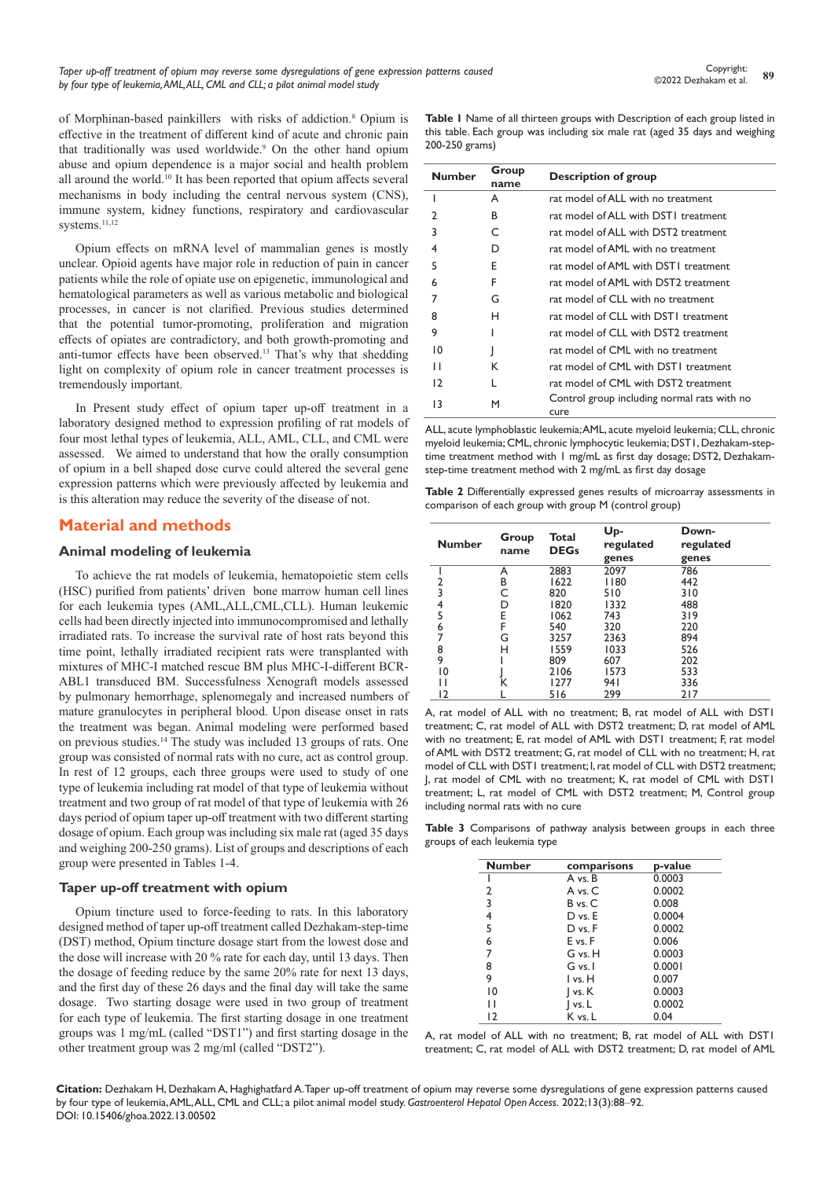[of Morphinan-based painkillers](https://en.wikipedia.org/wiki/Opium#cite_note-DrugsCom-5) with risks of addiction.8 Opium is effective in the treatment of different kind of acute and chronic pain that traditionally was used worldwide.<sup>9</sup> On the other hand opium abuse and opium dependence is a major social and health problem all around the world.10 It has been reported that opium affects several mechanisms in body including the central nervous system (CNS), immune system, kidney functions, respiratory and cardiovascular systems.<sup>11,12</sup>

Opium effects on mRNA level of mammalian genes is mostly unclear. Opioid agents have major role in reduction of pain in cancer patients while the role of opiate use on epigenetic, immunological and hematological parameters as well as various metabolic and biological processes, in cancer is not clarified. Previous studies determined that the potential tumor-promoting, proliferation and migration effects of opiates are contradictory, and both growth-promoting and anti-tumor effects have been observed.13 That's why that shedding light on complexity of opium role in cancer treatment processes is tremendously important.

In Present study effect of opium taper up-off treatment in a laboratory designed method to expression profiling of rat models of four most lethal types of leukemia, ALL, AML, CLL, and CML were assessed. We aimed to understand that how the orally consumption of opium in a bell shaped dose curve could altered the several gene expression patterns which were previously affected by leukemia and is this alteration may reduce the severity of the disease of not.

## **Material and methods**

#### **Animal modeling of leukemia**

To achieve the rat models of leukemia, hematopoietic stem cells (HSC) purified from patients' driven bone marrow human cell lines for each leukemia types (AML,ALL,CML,CLL). Human leukemic cells had been directly injected into immunocompromised and lethally irradiated rats. To increase the survival rate of host rats beyond this time point, lethally irradiated recipient rats were transplanted with mixtures of MHC-I matched rescue BM plus MHC-I-different BCR-ABL1 transduced BM. Successfulness Xenograft models assessed by pulmonary hemorrhage, splenomegaly and increased numbers of mature granulocytes in peripheral blood. Upon disease onset in rats the treatment was began. Animal modeling were performed based on previous studies.14 The study was included 13 groups of rats. One group was consisted of normal rats with no cure, act as control group. In rest of 12 groups, each three groups were used to study of one type of leukemia including rat model of that type of leukemia without treatment and two group of rat model of that type of leukemia with 26 days period of opium taper up-off treatment with two different starting dosage of opium. Each group was including six male rat (aged 35 days and weighing 200-250 grams). List of groups and descriptions of each group were presented in Tables 1-4.

#### **Taper up-off treatment with opium**

Opium [tincture](https://www.google.com/search?sxsrf=ALiCzsYbG7PTfNbY7ORYhz8g37ruXkie7Q:1651711701423&q=Opium+tincture&spell=1&sa=X&ved=2ahUKEwiX--_Jkcf3AhVL_qQKHbPCCUEQkeECKAB6BAgBEC8) used to force-feeding to rats. In this laboratory designed method of taper up-off treatment called Dezhakam-step-time (DST) method, Opium [tincture](https://www.google.com/search?sxsrf=ALiCzsYbG7PTfNbY7ORYhz8g37ruXkie7Q:1651711701423&q=Opium+tincture&spell=1&sa=X&ved=2ahUKEwiX--_Jkcf3AhVL_qQKHbPCCUEQkeECKAB6BAgBEC8) dosage start from the lowest dose and the dose will increase with 20 % rate for each day, until 13 days. Then the dosage of feeding reduce by the same 20% rate for next 13 days, and the first day of these 26 days and the final day will take the same dosage. Two starting dosage were used in two group of treatment for each type of leukemia. The first starting dosage in one treatment groups was 1 mg/mL (called "DST1") and first starting dosage in the other treatment group was 2 mg/ml (called "DST2").

**Table 1** Name of all thirteen groups with Description of each group listed in this table. Each group was including six male rat (aged 35 days and weighing 200-250 grams)

| <b>Number</b> | Group<br>name | Description of group                                |  |  |
|---------------|---------------|-----------------------------------------------------|--|--|
|               | A             | rat model of ALL with no treatment                  |  |  |
|               | в             | rat model of ALL with DSTI treatment                |  |  |
| 3             | C             | rat model of ALL with DST2 treatment                |  |  |
| 4             | D             | rat model of AML with no treatment                  |  |  |
| 5             | Е             | rat model of AML with DST1 treatment                |  |  |
| 6             | F             | rat model of AML with DST2 treatment                |  |  |
|               | G             | rat model of CLL with no treatment                  |  |  |
| 8             | н             | rat model of CLL with DST1 treatment                |  |  |
| 9             |               | rat model of CLL with DST <sub>2</sub> treatment    |  |  |
| 10            |               | rat model of CML with no treatment                  |  |  |
| П             | К             | rat model of CML with DSTI treatment                |  |  |
| 12            |               | rat model of CML with DST2 treatment                |  |  |
| 13            | M             | Control group including normal rats with no<br>cure |  |  |

ALL, [acute lymphoblastic leukemia;](https://en.wikipedia.org/wiki/Acute_lymphoblastic_leukemia)AML, [acute myeloid leukemia](https://en.wikipedia.org/wiki/Acute_myeloid_leukemia); CLL, [chronic](https://en.wikipedia.org/wiki/Chronic_myeloid_leukemia)  [myeloid leukemia](https://en.wikipedia.org/wiki/Chronic_myeloid_leukemia); CML, [chronic lymphocytic leukemia](https://en.wikipedia.org/wiki/Chronic_lymphocytic_leukemia); DST1, Dezhakam-steptime treatment method with 1 mg/mL as first day dosage; DST2, Dezhakamstep-time treatment method with 2 mg/mL as first day dosage

**Table 2** Differentially expressed genes results of microarray assessments in comparison of each group with group M (control group)

| <b>Number</b> | Group<br>name | Total<br><b>DEGs</b> | Up-<br>regulated<br>genes | Down-<br>regulated<br>genes |
|---------------|---------------|----------------------|---------------------------|-----------------------------|
|               | A             | 2883                 | 2097                      | 786                         |
| 2             | В             | 1622                 | 1180                      | 442                         |
| 3             |               | 820                  | 510                       | 310                         |
| 4             | D             | 1820                 | 1332                      | 488                         |
| 5             | E             | 1062                 | 743                       | 319                         |
| 6             | F             | 540                  | 320                       | 220                         |
| 7             | G             | 3257                 | 2363                      | 894                         |
| 8             | н             | 1559                 | 1033                      | 526                         |
| 9             |               | 809                  | 607                       | 202                         |
| ١0            |               | 2106                 | 1573                      | 533                         |
|               |               | 1277                 | 94 I                      | 336                         |
| 12            |               | 516                  | 299                       | 217                         |

A, rat model of ALL with no treatment; B, rat model of ALL with DST1 treatment; C, rat model of ALL with DST2 treatment; D, rat model of AML with no treatment; E, rat model of AML with DST1 treatment; F, rat model of AML with DST2 treatment; G, rat model of CLL with no treatment; H, rat model of CLL with DST1 treatment; I, rat model of CLL with DST2 treatment; J, rat model of CML with no treatment; K, rat model of CML with DST1 treatment; L, rat model of CML with DST2 treatment; M, Control group including normal rats with no cure

**Table 3** Comparisons of pathway analysis between groups in each three groups of each leukemia type

| <b>Number</b> | comparisons | p-value |
|---------------|-------------|---------|
|               | A vs. B     | 0.0003  |
| 2             | A vs. C     | 0.0002  |
| 3             | B vs. C     | 0.008   |
| 4             | D vs. E     | 0.0004  |
| 5             | D vs. F     | 0.0002  |
| 6             | E vs. F     | 0.006   |
| 7             | G vs. H     | 0.0003  |
| 8             | G vs. I     | 0.0001  |
| 9             | l vs. H     | 0.007   |
| 10            | vs. K       | 0.0003  |
| П             | vs.L        | 0.0002  |
| 12            | K vs. L     | 0.04    |



**Citation:** Dezhakam H, Dezhakam A, Haghighatfard A. Taper up-off treatment of opium may reverse some dysregulations of gene expression patterns caused by four type of leukemia, AML, ALL, CML and CLL; a pilot animal model study. *Gastroenterol Hepatol Open Access.* 2022;13(3):88‒92. DOI: [10.15406/ghoa.2022.13.00502](https://doi.org/10.15406/ghoa.2022.13.00502)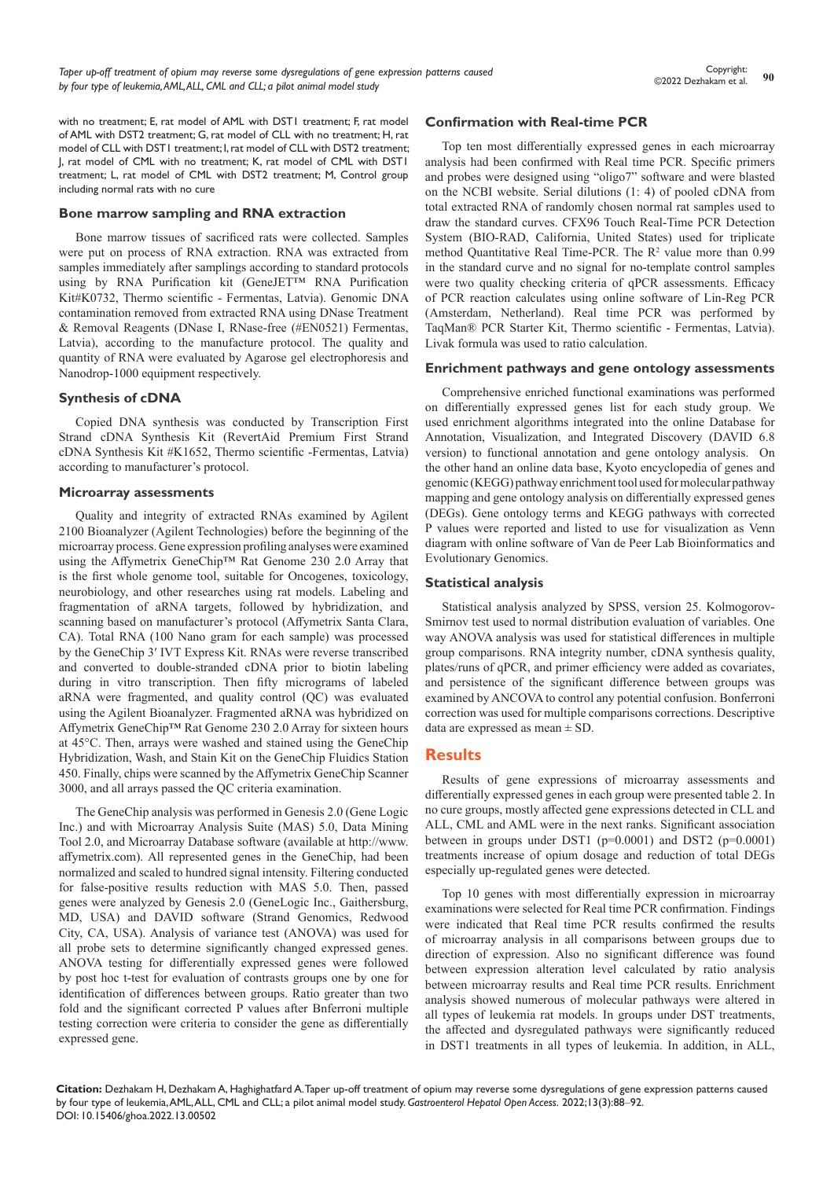with no treatment: E, rat model of AML with DST1 treatment: F, rat model of AML with DST2 treatment; G, rat model of CLL with no treatment; H, rat model of CLL with DST1 treatment; I, rat model of CLL with DST2 treatment; J, rat model of CML with no treatment; K, rat model of CML with DST1 treatment; L, rat model of CML with DST2 treatment; M, Control group including normal rats with no cure

#### **Bone marrow sampling and RNA extraction**

Bone marrow tissues of sacrificed rats were collected. Samples were put on process of RNA extraction. RNA was extracted from samples immediately after samplings according to standard protocols using by RNA Purification kit (GeneJET™ RNA Purification Kit#K0732, Thermo scientific - Fermentas, Latvia). Genomic DNA contamination removed from extracted RNA using DNase Treatment & Removal Reagents (DNase I, RNase-free (#EN0521) Fermentas, Latvia), according to the manufacture protocol. The quality and quantity of RNA were evaluated by Agarose gel electrophoresis and Nanodrop-1000 equipment respectively.

#### **Synthesis of cDNA**

Copied DNA synthesis was conducted by Transcription First Strand cDNA Synthesis Kit (RevertAid Premium First Strand cDNA Synthesis Kit #K1652, Thermo scientific -Fermentas, Latvia) according to manufacturer's protocol.

#### **Microarray assessments**

Quality and integrity of extracted RNAs examined by Agilent 2100 Bioanalyzer (Agilent Technologies) before the beginning of the microarray process. Gene expression profiling analyses were examined using the Affymetrix GeneChip™ Rat Genome 230 2.0 Array that is the first whole genome tool, suitable for Oncogenes, toxicology, neurobiology, and other researches using rat models. Labeling and fragmentation of aRNA targets, followed by hybridization, and scanning based on manufacturer's protocol (Affymetrix Santa Clara, CA). Total RNA (100 Nano gram for each sample) was processed by the GeneChip 3′ IVT Express Kit. RNAs were reverse transcribed and converted to double-stranded cDNA prior to biotin labeling during in vitro transcription. Then fifty micrograms of labeled aRNA were fragmented, and quality control (QC) was evaluated using the Agilent Bioanalyzer. Fragmented aRNA was hybridized on Affymetrix GeneChip™ Rat Genome 230 2.0 Array for sixteen hours at 45°C. Then, arrays were washed and stained using the GeneChip Hybridization, Wash, and Stain Kit on the GeneChip Fluidics Station 450. Finally, chips were scanned by the Affymetrix GeneChip Scanner 3000, and all arrays passed the QC criteria examination.

The GeneChip analysis was performed in Genesis 2.0 (Gene Logic Inc.) and with Microarray Analysis Suite (MAS) 5.0, Data Mining Tool 2.0, and Microarray Database software (available at http://www. affymetrix.com). All represented genes in the GeneChip, had been normalized and scaled to hundred signal intensity. Filtering conducted for false-positive results reduction with MAS 5.0. Then, passed genes were analyzed by Genesis 2.0 (GeneLogic Inc., Gaithersburg, MD, USA) and DAVID software (Strand Genomics, Redwood City, CA, USA). Analysis of variance test (ANOVA) was used for all probe sets to determine significantly changed expressed genes. ANOVA testing for differentially expressed genes were followed by post hoc t-test for evaluation of contrasts groups one by one for identification of differences between groups. Ratio greater than two fold and the significant corrected P values after Bnferroni multiple testing correction were criteria to consider the gene as differentially expressed gene.

## **Confirmation with Real-time PCR**

Top ten most differentially expressed genes in each microarray analysis had been confirmed with Real time PCR. Specific primers and probes were designed using "oligo7" software and were blasted on the NCBI website. Serial dilutions (1: 4) of pooled cDNA from total extracted RNA of randomly chosen normal rat samples used to draw the standard curves. CFX96 Touch Real-Time PCR Detection System (BIO-RAD, [California, United States\)](https://www.google.com/search?q=hercules+ca&stick=H4sIAAAAAAAAAOPgE-LSz9U3MC4wzDVPUeIAsQsrCwu1tLKTrfTzi9IT8zKrEksy8_NQOFYZqYkphaWJRSWpRcUALCJywkQAAAA&sa=X&ved=0ahUKEwjoz5qM5P_JAhVM3SwKHfWYDSkQmxMIfigBMBI) used for triplicate method Quantitative Real Time-PCR. The  $\mathbb{R}^2$  value more than 0.99 in the standard curve and no signal for no-template control samples were two quality checking criteria of qPCR assessments. Efficacy of PCR reaction calculates using online software of Lin-Reg PCR (Amsterdam, Netherland). Real time PCR was performed by TaqMan® PCR Starter Kit, Thermo scientific - Fermentas, Latvia). Livak formula was used to ratio calculation.

#### **Enrichment pathways and gene ontology assessments**

Comprehensive enriched functional examinations was performed on differentially expressed genes list for each study group. We used enrichment algorithms integrated into the online Database for Annotation, Visualization, and Integrated Discovery (DAVID 6.8 version) to functional annotation and gene ontology analysis. On the other hand an online data base, Kyoto encyclopedia of genes and genomic (KEGG) pathway enrichment tool used for molecular pathway mapping and gene ontology analysis on differentially expressed genes (DEGs). Gene ontology terms and KEGG pathways with corrected P values were reported and listed to use for visualization as Venn diagram with online software of [Van de Peer Lab](https://www.vandepeerlab.org/) Bioinformatics and Evolutionary Genomics.

### **Statistical analysis**

Statistical analysis analyzed by SPSS, version 25. Kolmogorov-Smirnov test used to normal distribution evaluation of variables. One way ANOVA analysis was used for statistical differences in multiple group comparisons. RNA integrity number, cDNA synthesis quality, plates/runs of qPCR, and primer efficiency were added as covariates, and persistence of the significant difference between groups was examined by ANCOVA to control any potential confusion. Bonferroni correction was used for multiple comparisons corrections. Descriptive data are expressed as mean ± SD.

## **Results**

Results of gene expressions of microarray assessments and differentially expressed genes in each group were presented table 2. In no cure groups, mostly affected gene expressions detected in CLL and ALL, CML and AML were in the next ranks. Significant association between in groups under DST1 (p=0.0001) and DST2 (p=0.0001) treatments increase of opium dosage and reduction of total DEGs especially up-regulated genes were detected.

Top 10 genes with most differentially expression in microarray examinations were selected for Real time PCR confirmation. Findings were indicated that Real time PCR results confirmed the results of microarray analysis in all comparisons between groups due to direction of expression. Also no significant difference was found between expression alteration level calculated by ratio analysis between microarray results and Real time PCR results. Enrichment analysis showed numerous of molecular pathways were altered in all types of leukemia rat models. In groups under DST treatments, the affected and dysregulated pathways were significantly reduced in DST1 treatments in all types of leukemia. In addition, in ALL,

**Citation:** Dezhakam H, Dezhakam A, Haghighatfard A. Taper up-off treatment of opium may reverse some dysregulations of gene expression patterns caused by four type of leukemia, AML, ALL, CML and CLL; a pilot animal model study. *Gastroenterol Hepatol Open Access.* 2022;13(3):88‒92. DOI: [10.15406/ghoa.2022.13.00502](https://doi.org/10.15406/ghoa.2022.13.00502)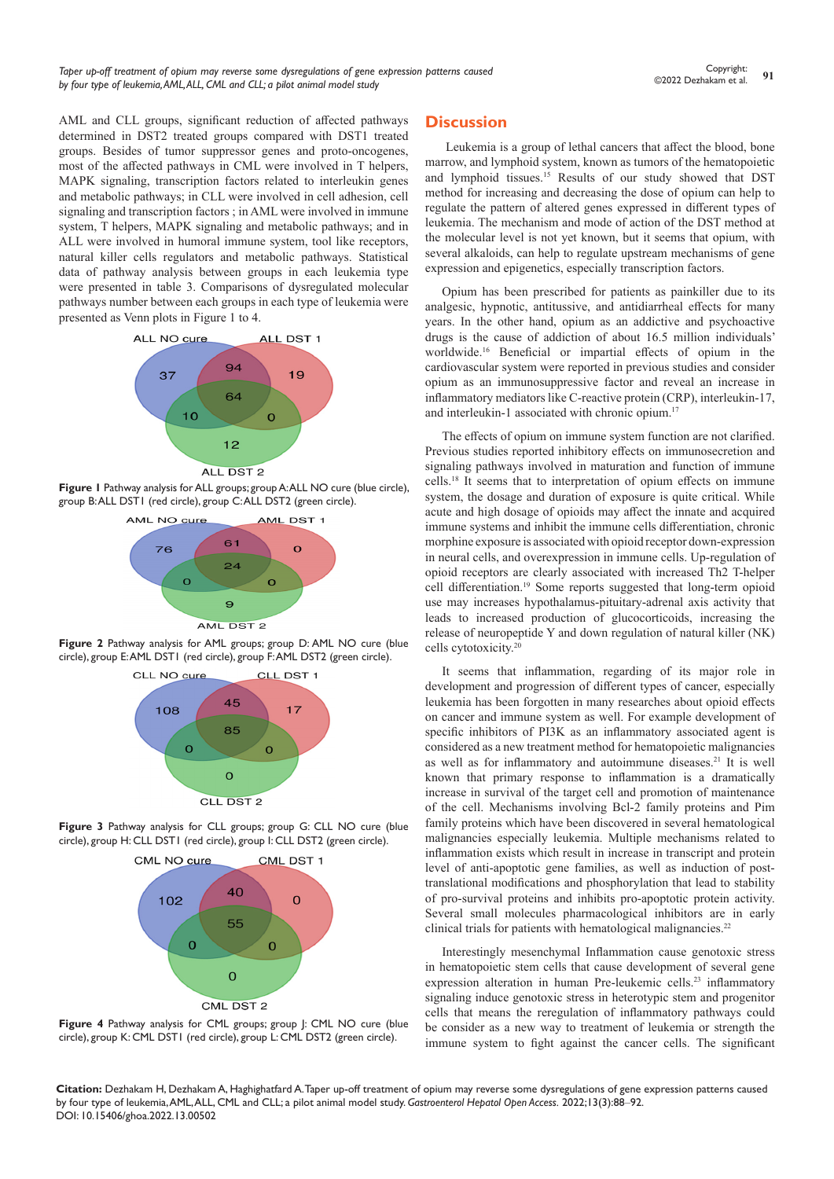AML and CLL groups, significant reduction of affected pathways determined in DST2 treated groups compared with DST1 treated groups. Besides of tumor suppressor genes and proto-oncogenes, most of the affected pathways in CML were involved in T helpers, MAPK signaling, transcription factors related to interleukin genes and metabolic pathways; in CLL were involved in cell adhesion, cell signaling and transcription factors ; in AML were involved in immune system, T helpers, MAPK signaling and metabolic pathways; and in ALL were involved in humoral immune system, tool like receptors, natural killer cells regulators and metabolic pathways. Statistical data of pathway analysis between groups in each leukemia type were presented in table 3. Comparisons of dysregulated molecular pathways number between each groups in each type of leukemia were presented as Venn plots in Figure 1 to 4.



**Figure 1** Pathway analysis for ALL groups; group A: ALL NO cure (blue circle), group B: ALL DST1 (red circle), group C: ALL DST2 (green circle).



**Figure 2** Pathway analysis for AML groups; group D: AML NO cure (blue circle), group E: AML DST1 (red circle), group F: AML DST2 (green circle).



**Figure 3** Pathway analysis for CLL groups; group G: CLL NO cure (blue circle), group H: CLL DST1 (red circle), group I: CLL DST2 (green circle).



**Figure 4** Pathway analysis for CML groups; group J: CML NO cure (blue circle), group K: CML DST1 (red circle), group L: CML DST2 (green circle).

### **Discussion**

Leukemia is a group of lethal cancers that affect the blood, bone marrow, and [lymphoid system](https://en.wikipedia.org/wiki/Lymphatic_system), known as [tumors of the hematopoietic](https://en.wikipedia.org/wiki/Tumors_of_the_hematopoietic_and_lymphoid_tissues)  [and lymphoid tissues.](https://en.wikipedia.org/wiki/Tumors_of_the_hematopoietic_and_lymphoid_tissues) 15 Results of our study showed that DST method for increasing and decreasing the dose of opium can help to regulate the pattern of altered genes expressed in different types of leukemia. The mechanism and mode of action of the DST method at the molecular level is not yet known, but it seems that opium, with several alkaloids, can help to regulate upstream mechanisms of gene expression and epigenetics, especially transcription factors.

Opium has been prescribed for patients as painkiller due to its analgesic, hypnotic, antitussive, and antidiarrheal effects for many years. In the other hand, opium as an addictive and psychoactive drugs is the cause of addiction of about 16.5 million individuals' worldwide.16 Beneficial or impartial effects of opium in the cardiovascular system were reported in previous studies and consider opium as an immunosuppressive factor and reveal an increase in inflammatory mediators like C-reactive protein (CRP), interleukin-17, and interleukin-1 associated with chronic opium.<sup>17</sup>

The effects of opium on immune system function are not clarified. Previous studies reported inhibitory effects on immunosecretion and signaling pathways involved in maturation and function of immune cells.18 It seems that to interpretation of opium effects on immune system, the dosage and duration of exposure is quite critical. While acute and high dosage of opioids may affect the innate and acquired immune systems and inhibit the immune cells differentiation, chronic morphine exposure is associated with opioid receptor down-expression in neural cells, and overexpression in immune cells. Up-regulation of opioid receptors are clearly associated with increased Th2 T-helper cell differentiation.19 Some reports suggested that long-term opioid use may increases hypothalamus-pituitary-adrenal axis activity that leads to increased production of glucocorticoids, increasing the release of neuropeptide Y and down regulation of natural killer (NK) cells cytotoxicity.20

It seems that inflammation, regarding of its major role in development and progression of different types of cancer, especially leukemia has been forgotten in many researches about opioid effects on cancer and immune system as well. For example development of specific inhibitors of PI3K as an inflammatory associated agent is considered as a new treatment method for hematopoietic malignancies as well as for inflammatory and autoimmune diseases.<sup>21</sup> It is well known that primary response to inflammation is a dramatically increase in survival of the target cell and promotion of maintenance of the cell. Mechanisms involving Bcl-2 family proteins and Pim family proteins which have been discovered in several hematological malignancies especially leukemia. Multiple mechanisms related to inflammation exists which result in increase in transcript and protein level of anti-apoptotic gene families, as well as induction of posttranslational modifications and phosphorylation that lead to stability of pro-survival proteins and inhibits pro-apoptotic protein activity. Several small molecules pharmacological inhibitors are in early clinical trials for patients with hematological malignancies.<sup>22</sup>

Interestingly mesenchymal Inflammation cause genotoxic stress in hematopoietic stem cells that cause development of several gene expression alteration in human Pre-leukemic cells.<sup>23</sup> inflammatory signaling induce genotoxic stress in heterotypic stem and progenitor cells that means the reregulation of inflammatory pathways could be consider as a new way to treatment of leukemia or strength the immune system to fight against the cancer cells. The significant

**Citation:** Dezhakam H, Dezhakam A, Haghighatfard A. Taper up-off treatment of opium may reverse some dysregulations of gene expression patterns caused by four type of leukemia, AML, ALL, CML and CLL; a pilot animal model study. *Gastroenterol Hepatol Open Access.* 2022;13(3):88‒92. DOI: [10.15406/ghoa.2022.13.00502](https://doi.org/10.15406/ghoa.2022.13.00502)